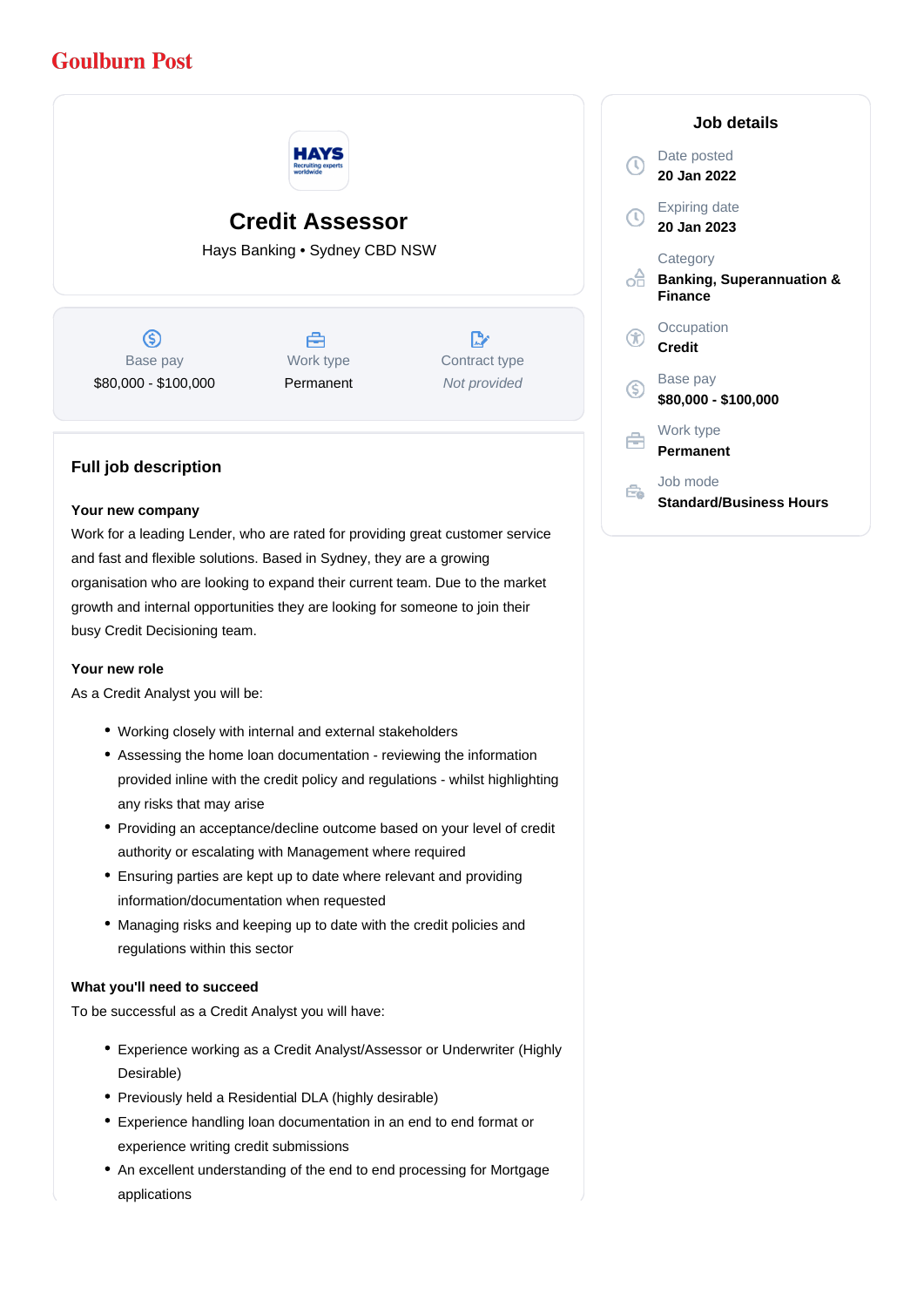# **Goulburn Post**



# **Credit Assessor**

Hays Banking • Sydney CBD NSW

 $\circledS$ Base pay \$80,000 - \$100,000



 $\mathbb{R}^{\cdot}$ Contract type Not provided

# **Full job description**

### **Your new company**

Work for a leading Lender, who are rated for providing great customer service and fast and flexible solutions. Based in Sydney, they are a growing organisation who are looking to expand their current team. Due to the market growth and internal opportunities they are looking for someone to join their busy Credit Decisioning team.

#### **Your new role**

As a Credit Analyst you will be:

- Working closely with internal and external stakeholders
- Assessing the home loan documentation reviewing the information provided inline with the credit policy and regulations - whilst highlighting any risks that may arise
- Providing an acceptance/decline outcome based on your level of credit authority or escalating with Management where required
- Ensuring parties are kept up to date where relevant and providing information/documentation when requested
- Managing risks and keeping up to date with the credit policies and regulations within this sector

# **What you'll need to succeed**

To be successful as a Credit Analyst you will have:

- Experience working as a Credit Analyst/Assessor or Underwriter (Highly Desirable)
- Previously held a Residential DLA (highly desirable)
- Experience handling loan documentation in an end to end format or experience writing credit submissions
- An excellent understanding of the end to end processing for Mortgage applications

|                   | Job details                                                        |
|-------------------|--------------------------------------------------------------------|
| $\mathbb O$       | Date posted<br>20 Jan 2022                                         |
| $\left( 0\right)$ | <b>Expiring date</b><br>20 Jan 2023                                |
| ൙                 | Category<br><b>Banking, Superannuation &amp;</b><br><b>Finance</b> |
| X                 | Occupation<br><b>Credit</b>                                        |
| (S)               | Base pay<br>\$80,000 - \$100,000                                   |
| ≑                 | Work type<br>Permanent                                             |
|                   | Job mode<br><b>Standard/Business Hours</b>                         |